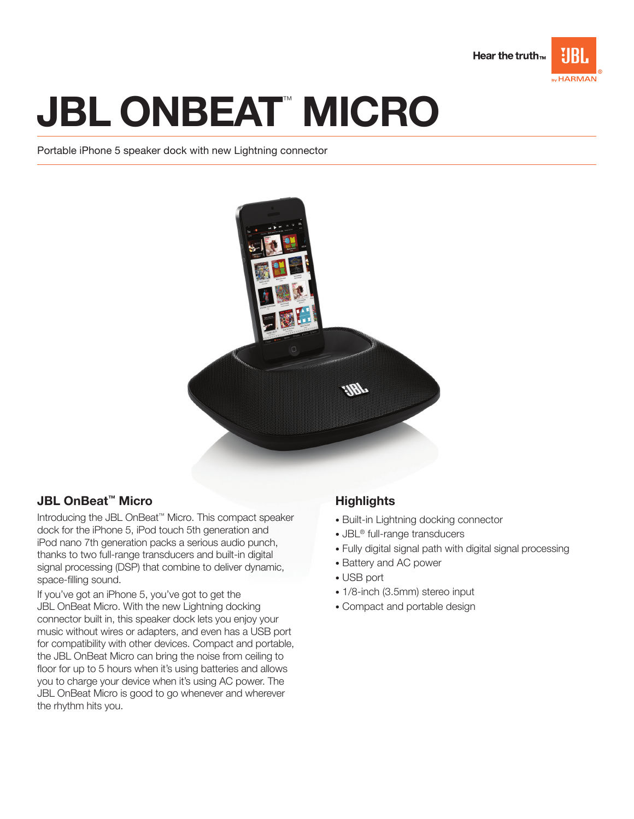

# **JBL ONBEAT™ MICRO**

Portable iPhone 5 speaker dock with new Lightning connector



## JBL OnBeat™ Micro

Introducing the JBL OnBeat™ Micro. This compact speaker dock for the iPhone 5, iPod touch 5th generation and iPod nano 7th generation packs a serious audio punch, thanks to two full-range transducers and built-in digital signal processing (DSP) that combine to deliver dynamic, space-filling sound.

If you've got an iPhone 5, you've got to get the JBL OnBeat Micro. With the new Lightning docking connector built in, this speaker dock lets you enjoy your music without wires or adapters, and even has a USB port for compatibility with other devices. Compact and portable, the JBL OnBeat Micro can bring the noise from ceiling to floor for up to 5 hours when it's using batteries and allows you to charge your device when it's using AC power. The JBL OnBeat Micro is good to go whenever and wherever the rhythm hits you.

# **Highlights**

- Built-in Lightning docking connector
- JBL® full-range transducers
- Fully digital signal path with digital signal processing
- Battery and AC power
- USB port
- 1/8-inch (3.5mm) stereo input
- Compact and portable design